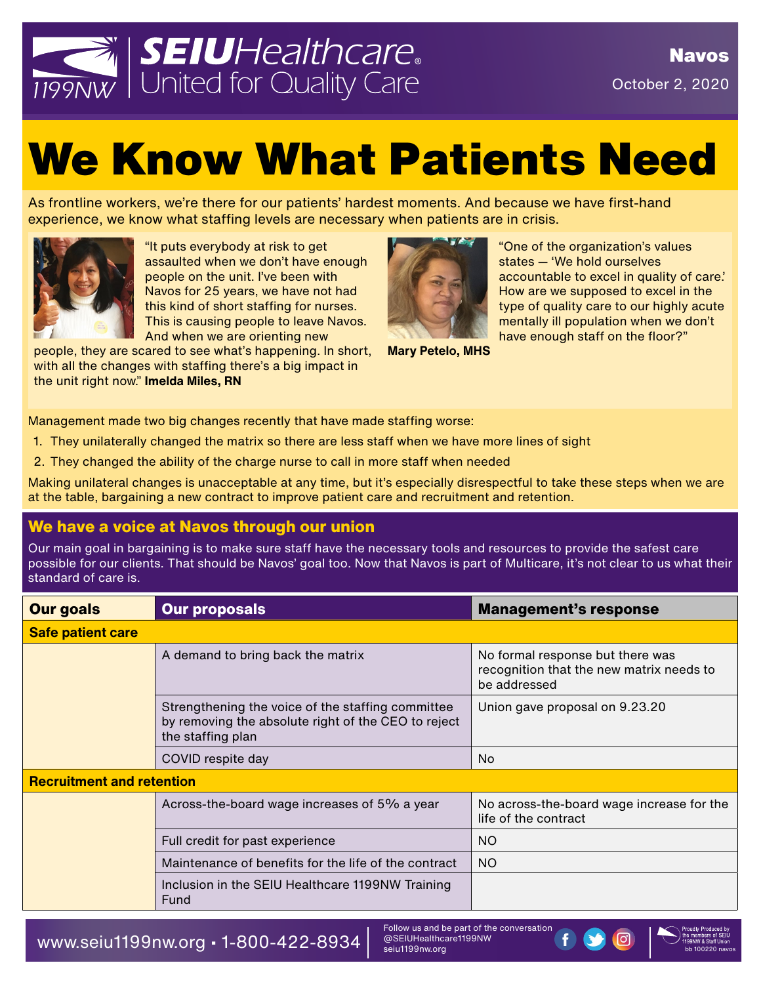

## We Know What Patients Need

As frontline workers, we're there for our patients' hardest moments. And because we have first-hand experience, we know what staffing levels are necessary when patients are in crisis.



"It puts everybody at risk to get assaulted when we don't have enough people on the unit. I've been with Navos for 25 years, we have not had this kind of short staffing for nurses. This is causing people to leave Navos. And when we are orienting new

people, they are scared to see what's happening. In short, with all the changes with staffing there's a big impact in the unit right now." **Imelda Miles, RN**



**Mary Petelo, MHS**

"One of the organization's values states — 'We hold ourselves accountable to excel in quality of care.' How are we supposed to excel in the type of quality care to our highly acute mentally ill population when we don't have enough staff on the floor?"

Management made two big changes recently that have made staffing worse:

- 1. They unilaterally changed the matrix so there are less staff when we have more lines of sight
- 2. They changed the ability of the charge nurse to call in more staff when needed

Making unilateral changes is unacceptable at any time, but it's especially disrespectful to take these steps when we are at the table, bargaining a new contract to improve patient care and recruitment and retention.

## **We have a voice at Navos through our union**

Our main goal in bargaining is to make sure staff have the necessary tools and resources to provide the safest care possible for our clients. That should be Navos' goal too. Now that Navos is part of Multicare, it's not clear to us what their standard of care is.

| <b>Our goals</b>                 | <b>Our proposals</b>                                                                                                          | <b>Management's response</b>                                                                 |  |  |  |  |
|----------------------------------|-------------------------------------------------------------------------------------------------------------------------------|----------------------------------------------------------------------------------------------|--|--|--|--|
| <b>Safe patient care</b>         |                                                                                                                               |                                                                                              |  |  |  |  |
|                                  | A demand to bring back the matrix                                                                                             | No formal response but there was<br>recognition that the new matrix needs to<br>be addressed |  |  |  |  |
|                                  | Strengthening the voice of the staffing committee<br>by removing the absolute right of the CEO to reject<br>the staffing plan | Union gave proposal on 9.23.20                                                               |  |  |  |  |
|                                  | COVID respite day                                                                                                             | No.                                                                                          |  |  |  |  |
| <b>Recruitment and retention</b> |                                                                                                                               |                                                                                              |  |  |  |  |
|                                  | Across-the-board wage increases of 5% a year                                                                                  | No across-the-board wage increase for the<br>life of the contract                            |  |  |  |  |
|                                  | Full credit for past experience                                                                                               | <b>NO</b>                                                                                    |  |  |  |  |
|                                  | Maintenance of benefits for the life of the contract                                                                          | <b>NO</b>                                                                                    |  |  |  |  |
|                                  | Inclusion in the SEIU Healthcare 1199NW Training<br>Fund                                                                      |                                                                                              |  |  |  |  |

WWW.Seiu1199nw.org • 1-800-422-8934  $\vert$  @SEIUHealthcare1199NW (f)  $\bullet$   $\bullet$ 

Follow us and be part of the conversation @SEIUHealthcare1199NW seiu1199nw.org